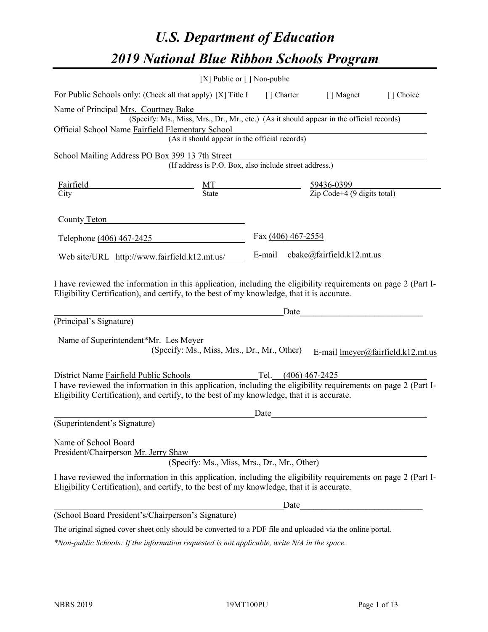# *U.S. Department of Education 2019 National Blue Ribbon Schools Program*

|                                                                                                                                                                                                              | [X] Public or $\lceil$ ] Non-public                                                      |                       |                                                                                                                                                                                                                               |                                   |
|--------------------------------------------------------------------------------------------------------------------------------------------------------------------------------------------------------------|------------------------------------------------------------------------------------------|-----------------------|-------------------------------------------------------------------------------------------------------------------------------------------------------------------------------------------------------------------------------|-----------------------------------|
| For Public Schools only: (Check all that apply) [X] Title I                                                                                                                                                  |                                                                                          | [] Charter            | [ ] Magnet                                                                                                                                                                                                                    | [ ] Choice                        |
| Name of Principal Mrs. Courtney Bake<br>Official School Name Fairfield Elementary School                                                                                                                     | (Specify: Ms., Miss, Mrs., Dr., Mr., etc.) (As it should appear in the official records) |                       |                                                                                                                                                                                                                               |                                   |
|                                                                                                                                                                                                              | (As it should appear in the official records)                                            |                       |                                                                                                                                                                                                                               |                                   |
| School Mailing Address PO Box 399 13 7th Street                                                                                                                                                              |                                                                                          |                       |                                                                                                                                                                                                                               |                                   |
|                                                                                                                                                                                                              | (If address is P.O. Box, also include street address.)                                   |                       |                                                                                                                                                                                                                               |                                   |
| Fairfield<br>City                                                                                                                                                                                            | MT<br>State                                                                              |                       | $\frac{59436-0399}{\text{Zip Code}+4 (9 \text{ digits total})}$                                                                                                                                                               |                                   |
| County Teton                                                                                                                                                                                                 |                                                                                          |                       |                                                                                                                                                                                                                               |                                   |
| Telephone (406) 467-2425                                                                                                                                                                                     |                                                                                          | Fax (406) 467-2554    |                                                                                                                                                                                                                               |                                   |
| Web site/URL http://www.fairfield.k12.mt.us/                                                                                                                                                                 |                                                                                          |                       | E-mail cbake@fairfield.k12.mt.us                                                                                                                                                                                              |                                   |
| Eligibility Certification), and certify, to the best of my knowledge, that it is accurate.<br>(Principal's Signature)<br>Name of Superintendent*Mr. Les Meyer                                                | (Specify: Ms., Miss, Mrs., Dr., Mr., Other)                                              |                       | Date and the set of the set of the set of the set of the set of the set of the set of the set of the set of the set of the set of the set of the set of the set of the set of the set of the set of the set of the set of the | E-mail lmeyer@fairfield.k12.mt.us |
| District Name Fairfield Public Schools                                                                                                                                                                       |                                                                                          | Tel. $(406)$ 467-2425 |                                                                                                                                                                                                                               |                                   |
| I have reviewed the information in this application, including the eligibility requirements on page 2 (Part I-<br>Eligibility Certification), and certify, to the best of my knowledge, that it is accurate. |                                                                                          |                       |                                                                                                                                                                                                                               |                                   |
|                                                                                                                                                                                                              |                                                                                          | Date                  |                                                                                                                                                                                                                               |                                   |
| (Superintendent's Signature)                                                                                                                                                                                 |                                                                                          |                       |                                                                                                                                                                                                                               |                                   |
| Name of School Board<br>President/Chairperson Mr. Jerry Shaw                                                                                                                                                 | (Specify: Ms., Miss, Mrs., Dr., Mr., Other)                                              |                       |                                                                                                                                                                                                                               |                                   |
| I have reviewed the information in this application, including the eligibility requirements on page 2 (Part I-<br>Eligibility Certification), and certify, to the best of my knowledge, that it is accurate. |                                                                                          |                       |                                                                                                                                                                                                                               |                                   |
|                                                                                                                                                                                                              |                                                                                          | Date                  |                                                                                                                                                                                                                               |                                   |
| (School Board President's/Chairperson's Signature)                                                                                                                                                           |                                                                                          |                       |                                                                                                                                                                                                                               |                                   |
| The original signed cover sheet only should be converted to a PDF file and uploaded via the online portal.                                                                                                   |                                                                                          |                       |                                                                                                                                                                                                                               |                                   |

*\*Non-public Schools: If the information requested is not applicable, write N/A in the space.*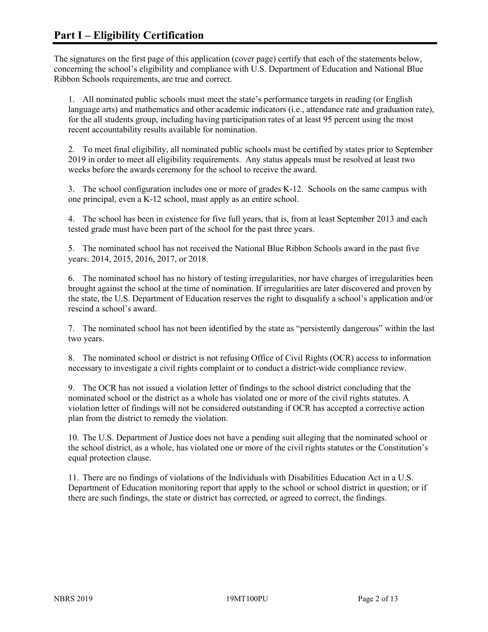The signatures on the first page of this application (cover page) certify that each of the statements below, concerning the school's eligibility and compliance with U.S. Department of Education and National Blue Ribbon Schools requirements, are true and correct.

1. All nominated public schools must meet the state's performance targets in reading (or English language arts) and mathematics and other academic indicators (i.e., attendance rate and graduation rate), for the all students group, including having participation rates of at least 95 percent using the most recent accountability results available for nomination.

2. To meet final eligibility, all nominated public schools must be certified by states prior to September 2019 in order to meet all eligibility requirements. Any status appeals must be resolved at least two weeks before the awards ceremony for the school to receive the award.

3. The school configuration includes one or more of grades K-12. Schools on the same campus with one principal, even a K-12 school, must apply as an entire school.

4. The school has been in existence for five full years, that is, from at least September 2013 and each tested grade must have been part of the school for the past three years.

5. The nominated school has not received the National Blue Ribbon Schools award in the past five years: 2014, 2015, 2016, 2017, or 2018.

6. The nominated school has no history of testing irregularities, nor have charges of irregularities been brought against the school at the time of nomination. If irregularities are later discovered and proven by the state, the U.S. Department of Education reserves the right to disqualify a school's application and/or rescind a school's award.

7. The nominated school has not been identified by the state as "persistently dangerous" within the last two years.

8. The nominated school or district is not refusing Office of Civil Rights (OCR) access to information necessary to investigate a civil rights complaint or to conduct a district-wide compliance review.

9. The OCR has not issued a violation letter of findings to the school district concluding that the nominated school or the district as a whole has violated one or more of the civil rights statutes. A violation letter of findings will not be considered outstanding if OCR has accepted a corrective action plan from the district to remedy the violation.

10. The U.S. Department of Justice does not have a pending suit alleging that the nominated school or the school district, as a whole, has violated one or more of the civil rights statutes or the Constitution's equal protection clause.

11. There are no findings of violations of the Individuals with Disabilities Education Act in a U.S. Department of Education monitoring report that apply to the school or school district in question; or if there are such findings, the state or district has corrected, or agreed to correct, the findings.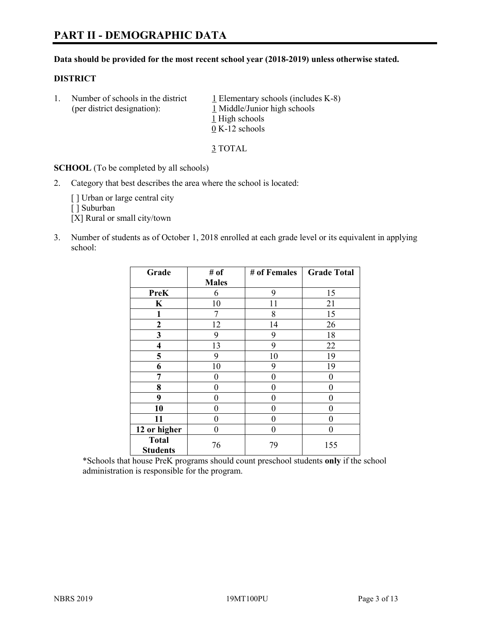# **PART II - DEMOGRAPHIC DATA**

#### **Data should be provided for the most recent school year (2018-2019) unless otherwise stated.**

#### **DISTRICT**

1. Number of schools in the district  $1$  Elementary schools (includes K-8) (per district designation): 1 Middle/Junior high schools 1 High schools 0 K-12 schools

3 TOTAL

**SCHOOL** (To be completed by all schools)

2. Category that best describes the area where the school is located:

[ ] Urban or large central city

[] Suburban

[X] Rural or small city/town

3. Number of students as of October 1, 2018 enrolled at each grade level or its equivalent in applying school:

| Grade                           | # of         | # of Females | <b>Grade Total</b> |
|---------------------------------|--------------|--------------|--------------------|
|                                 | <b>Males</b> |              |                    |
| <b>PreK</b>                     | 6            | 9            | 15                 |
| $\mathbf K$                     | 10           | 11           | 21                 |
| 1                               | 7            | 8            | 15                 |
| $\mathbf{2}$                    | 12           | 14           | 26                 |
| 3                               | 9            | 9            | 18                 |
| $\overline{\mathbf{4}}$         | 13           | 9            | 22                 |
| 5                               | 9            | 10           | 19                 |
| 6                               | 10           | 9            | 19                 |
| 7                               | 0            | $\theta$     | 0                  |
| 8                               | 0            | $\theta$     | 0                  |
| 9                               | 0            | $\theta$     | 0                  |
| 10                              | 0            | $\theta$     | 0                  |
| 11                              | 0            | 0            | 0                  |
| 12 or higher                    | 0            | $\theta$     | 0                  |
| <b>Total</b><br><b>Students</b> | 76           | 79           | 155                |

\*Schools that house PreK programs should count preschool students **only** if the school administration is responsible for the program.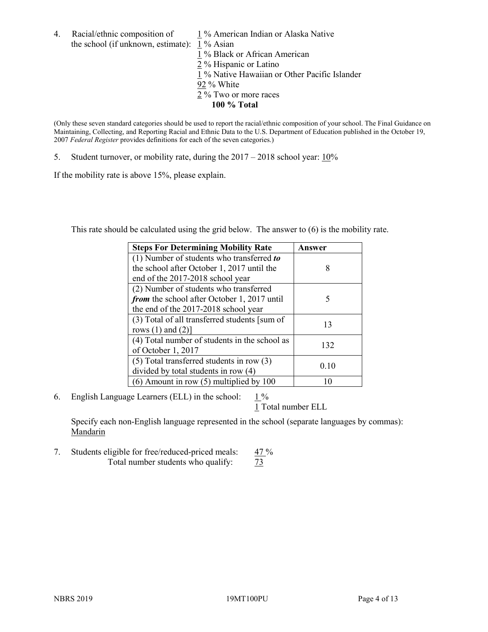4. Racial/ethnic composition of  $1\%$  American Indian or Alaska Native the school (if unknown, estimate): 1 % Asian

1 % Black or African American  $\frac{2}{2}$ % Hispanic or Latino 1 % Native Hawaiian or Other Pacific Islander 92 % White 2 % Two or more races **100 % Total**

(Only these seven standard categories should be used to report the racial/ethnic composition of your school. The Final Guidance on Maintaining, Collecting, and Reporting Racial and Ethnic Data to the U.S. Department of Education published in the October 19, 2007 *Federal Register* provides definitions for each of the seven categories.)

5. Student turnover, or mobility rate, during the 2017 – 2018 school year: 10%

If the mobility rate is above 15%, please explain.

This rate should be calculated using the grid below. The answer to (6) is the mobility rate.

| <b>Steps For Determining Mobility Rate</b>    | Answer |
|-----------------------------------------------|--------|
| (1) Number of students who transferred to     |        |
| the school after October 1, 2017 until the    | 8      |
| end of the 2017-2018 school year              |        |
| (2) Number of students who transferred        |        |
| from the school after October 1, 2017 until   | 5      |
| the end of the 2017-2018 school year          |        |
| (3) Total of all transferred students [sum of | 13     |
| rows $(1)$ and $(2)$ ]                        |        |
| (4) Total number of students in the school as | 132    |
| of October 1, 2017                            |        |
| $(5)$ Total transferred students in row $(3)$ | 0.10   |
| divided by total students in row (4)          |        |
| $(6)$ Amount in row $(5)$ multiplied by 100   |        |

6. English Language Learners (ELL) in the school:  $1\%$ 

1 Total number ELL

Specify each non-English language represented in the school (separate languages by commas): **Mandarin** 

7. Students eligible for free/reduced-priced meals:  $\frac{47\%}{73}$ Total number students who qualify: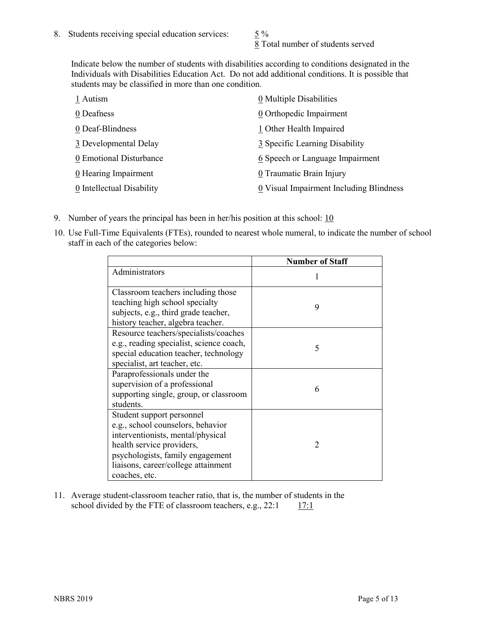8 Total number of students served

Indicate below the number of students with disabilities according to conditions designated in the Individuals with Disabilities Education Act. Do not add additional conditions. It is possible that students may be classified in more than one condition.

| 1 Autism                  | 0 Multiple Disabilities                 |
|---------------------------|-----------------------------------------|
| 0 Deafness                | 0 Orthopedic Impairment                 |
| 0 Deaf-Blindness          | 1 Other Health Impaired                 |
| 3 Developmental Delay     | 3 Specific Learning Disability          |
| 0 Emotional Disturbance   | 6 Speech or Language Impairment         |
| 0 Hearing Impairment      | 0 Traumatic Brain Injury                |
| 0 Intellectual Disability | 0 Visual Impairment Including Blindness |

- 9. Number of years the principal has been in her/his position at this school:  $10$
- 10. Use Full-Time Equivalents (FTEs), rounded to nearest whole numeral, to indicate the number of school staff in each of the categories below:

|                                                                                                                                                                                                                              | <b>Number of Staff</b> |
|------------------------------------------------------------------------------------------------------------------------------------------------------------------------------------------------------------------------------|------------------------|
| Administrators                                                                                                                                                                                                               |                        |
| Classroom teachers including those<br>teaching high school specialty<br>subjects, e.g., third grade teacher,<br>history teacher, algebra teacher.                                                                            | 9                      |
| Resource teachers/specialists/coaches<br>e.g., reading specialist, science coach,<br>special education teacher, technology<br>specialist, art teacher, etc.                                                                  | 5                      |
| Paraprofessionals under the<br>supervision of a professional<br>supporting single, group, or classroom<br>students.                                                                                                          | 6                      |
| Student support personnel<br>e.g., school counselors, behavior<br>interventionists, mental/physical<br>health service providers,<br>psychologists, family engagement<br>liaisons, career/college attainment<br>coaches, etc. | $\mathcal{D}$          |

11. Average student-classroom teacher ratio, that is, the number of students in the school divided by the FTE of classroom teachers, e.g.,  $22:1$  17:1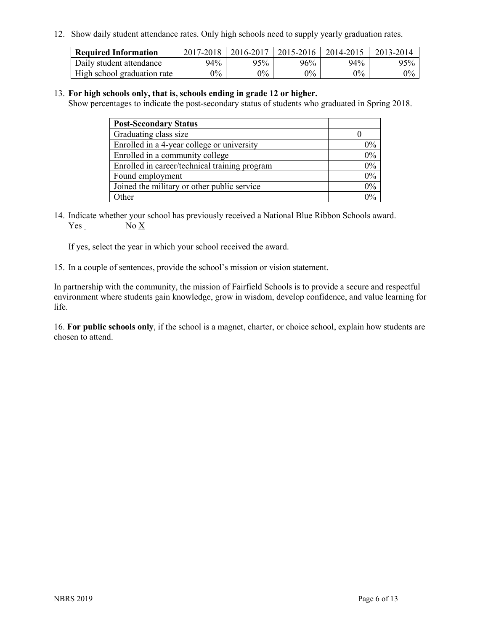12. Show daily student attendance rates. Only high schools need to supply yearly graduation rates.

| <b>Required Information</b> | 2017-2018 | 2016-2017 | 2015-2016 | 2014-2015 | 2013-2014 |
|-----------------------------|-----------|-----------|-----------|-----------|-----------|
| Daily student attendance    | 94%       | 95%       | 96%       | 94%       | 95%       |
| High school graduation rate | $0\%$     | $0\%$     | $0\%$     | $9\%$     | $0\%$     |

#### 13. **For high schools only, that is, schools ending in grade 12 or higher.**

Show percentages to indicate the post-secondary status of students who graduated in Spring 2018.

| <b>Post-Secondary Status</b>                  |       |
|-----------------------------------------------|-------|
| Graduating class size                         |       |
| Enrolled in a 4-year college or university    | $0\%$ |
| Enrolled in a community college               | 0%    |
| Enrolled in career/technical training program | 0%    |
| Found employment                              | 0%    |
| Joined the military or other public service   | 0%    |
| Other                                         | በ%    |

14. Indicate whether your school has previously received a National Blue Ribbon Schools award. Yes No X

If yes, select the year in which your school received the award.

15. In a couple of sentences, provide the school's mission or vision statement.

In partnership with the community, the mission of Fairfield Schools is to provide a secure and respectful environment where students gain knowledge, grow in wisdom, develop confidence, and value learning for life.

16. **For public schools only**, if the school is a magnet, charter, or choice school, explain how students are chosen to attend.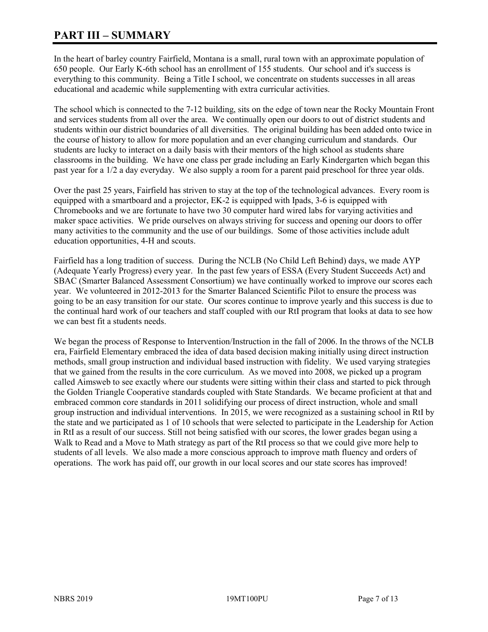# **PART III – SUMMARY**

In the heart of barley country Fairfield, Montana is a small, rural town with an approximate population of 650 people. Our Early K-6th school has an enrollment of 155 students. Our school and it's success is everything to this community. Being a Title I school, we concentrate on students successes in all areas educational and academic while supplementing with extra curricular activities.

The school which is connected to the 7-12 building, sits on the edge of town near the Rocky Mountain Front and services students from all over the area. We continually open our doors to out of district students and students within our district boundaries of all diversities. The original building has been added onto twice in the course of history to allow for more population and an ever changing curriculum and standards. Our students are lucky to interact on a daily basis with their mentors of the high school as students share classrooms in the building. We have one class per grade including an Early Kindergarten which began this past year for a 1/2 a day everyday. We also supply a room for a parent paid preschool for three year olds.

Over the past 25 years, Fairfield has striven to stay at the top of the technological advances. Every room is equipped with a smartboard and a projector, EK-2 is equipped with Ipads, 3-6 is equipped with Chromebooks and we are fortunate to have two 30 computer hard wired labs for varying activities and maker space activities. We pride ourselves on always striving for success and opening our doors to offer many activities to the community and the use of our buildings. Some of those activities include adult education opportunities, 4-H and scouts.

Fairfield has a long tradition of success. During the NCLB (No Child Left Behind) days, we made AYP (Adequate Yearly Progress) every year. In the past few years of ESSA (Every Student Succeeds Act) and SBAC (Smarter Balanced Assessment Consortium) we have continually worked to improve our scores each year. We volunteered in 2012-2013 for the Smarter Balanced Scientific Pilot to ensure the process was going to be an easy transition for our state. Our scores continue to improve yearly and this success is due to the continual hard work of our teachers and staff coupled with our RtI program that looks at data to see how we can best fit a students needs.

We began the process of Response to Intervention/Instruction in the fall of 2006. In the throws of the NCLB era, Fairfield Elementary embraced the idea of data based decision making initially using direct instruction methods, small group instruction and individual based instruction with fidelity. We used varying strategies that we gained from the results in the core curriculum. As we moved into 2008, we picked up a program called Aimsweb to see exactly where our students were sitting within their class and started to pick through the Golden Triangle Cooperative standards coupled with State Standards. We became proficient at that and embraced common core standards in 2011 solidifying our process of direct instruction, whole and small group instruction and individual interventions. In 2015, we were recognized as a sustaining school in RtI by the state and we participated as 1 of 10 schools that were selected to participate in the Leadership for Action in RtI as a result of our success. Still not being satisfied with our scores, the lower grades began using a Walk to Read and a Move to Math strategy as part of the RtI process so that we could give more help to students of all levels. We also made a more conscious approach to improve math fluency and orders of operations. The work has paid off, our growth in our local scores and our state scores has improved!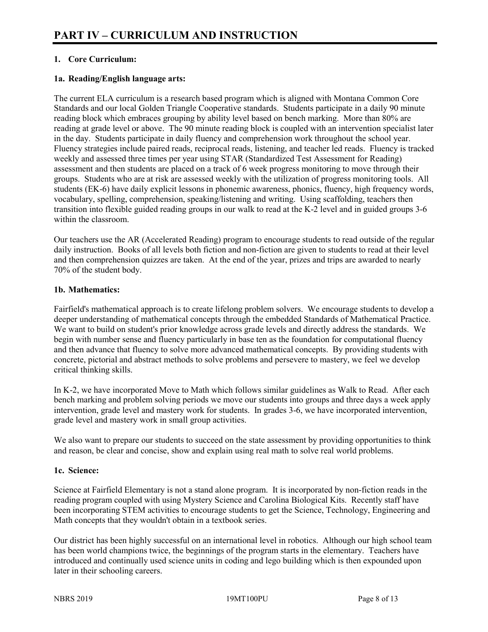# **1. Core Curriculum:**

## **1a. Reading/English language arts:**

The current ELA curriculum is a research based program which is aligned with Montana Common Core Standards and our local Golden Triangle Cooperative standards. Students participate in a daily 90 minute reading block which embraces grouping by ability level based on bench marking. More than 80% are reading at grade level or above. The 90 minute reading block is coupled with an intervention specialist later in the day. Students participate in daily fluency and comprehension work throughout the school year. Fluency strategies include paired reads, reciprocal reads, listening, and teacher led reads. Fluency is tracked weekly and assessed three times per year using STAR (Standardized Test Assessment for Reading) assessment and then students are placed on a track of 6 week progress monitoring to move through their groups. Students who are at risk are assessed weekly with the utilization of progress monitoring tools. All students (EK-6) have daily explicit lessons in phonemic awareness, phonics, fluency, high frequency words, vocabulary, spelling, comprehension, speaking/listening and writing. Using scaffolding, teachers then transition into flexible guided reading groups in our walk to read at the K-2 level and in guided groups 3-6 within the classroom.

Our teachers use the AR (Accelerated Reading) program to encourage students to read outside of the regular daily instruction. Books of all levels both fiction and non-fiction are given to students to read at their level and then comprehension quizzes are taken. At the end of the year, prizes and trips are awarded to nearly 70% of the student body.

## **1b. Mathematics:**

Fairfield's mathematical approach is to create lifelong problem solvers. We encourage students to develop a deeper understanding of mathematical concepts through the embedded Standards of Mathematical Practice. We want to build on student's prior knowledge across grade levels and directly address the standards. We begin with number sense and fluency particularly in base ten as the foundation for computational fluency and then advance that fluency to solve more advanced mathematical concepts. By providing students with concrete, pictorial and abstract methods to solve problems and persevere to mastery, we feel we develop critical thinking skills.

In K-2, we have incorporated Move to Math which follows similar guidelines as Walk to Read. After each bench marking and problem solving periods we move our students into groups and three days a week apply intervention, grade level and mastery work for students. In grades 3-6, we have incorporated intervention, grade level and mastery work in small group activities.

We also want to prepare our students to succeed on the state assessment by providing opportunities to think and reason, be clear and concise, show and explain using real math to solve real world problems.

#### **1c. Science:**

Science at Fairfield Elementary is not a stand alone program. It is incorporated by non-fiction reads in the reading program coupled with using Mystery Science and Carolina Biological Kits. Recently staff have been incorporating STEM activities to encourage students to get the Science, Technology, Engineering and Math concepts that they wouldn't obtain in a textbook series.

Our district has been highly successful on an international level in robotics. Although our high school team has been world champions twice, the beginnings of the program starts in the elementary. Teachers have introduced and continually used science units in coding and lego building which is then expounded upon later in their schooling careers.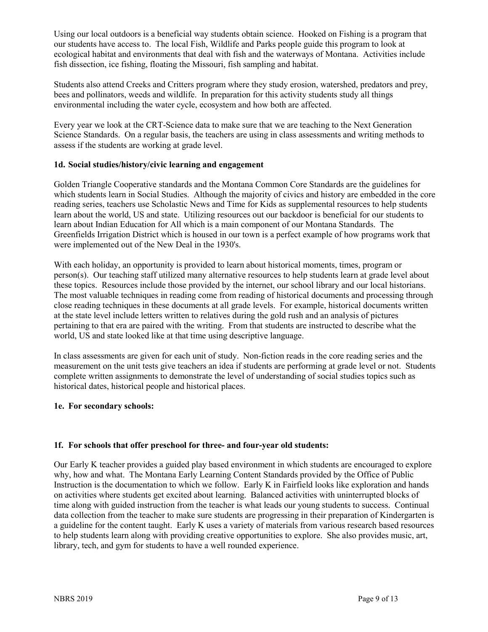Using our local outdoors is a beneficial way students obtain science. Hooked on Fishing is a program that our students have access to. The local Fish, Wildlife and Parks people guide this program to look at ecological habitat and environments that deal with fish and the waterways of Montana. Activities include fish dissection, ice fishing, floating the Missouri, fish sampling and habitat.

Students also attend Creeks and Critters program where they study erosion, watershed, predators and prey, bees and pollinators, weeds and wildlife. In preparation for this activity students study all things environmental including the water cycle, ecosystem and how both are affected.

Every year we look at the CRT-Science data to make sure that we are teaching to the Next Generation Science Standards. On a regular basis, the teachers are using in class assessments and writing methods to assess if the students are working at grade level.

## **1d. Social studies/history/civic learning and engagement**

Golden Triangle Cooperative standards and the Montana Common Core Standards are the guidelines for which students learn in Social Studies. Although the majority of civics and history are embedded in the core reading series, teachers use Scholastic News and Time for Kids as supplemental resources to help students learn about the world, US and state. Utilizing resources out our backdoor is beneficial for our students to learn about Indian Education for All which is a main component of our Montana Standards. The Greenfields Irrigation District which is housed in our town is a perfect example of how programs work that were implemented out of the New Deal in the 1930's.

With each holiday, an opportunity is provided to learn about historical moments, times, program or person(s). Our teaching staff utilized many alternative resources to help students learn at grade level about these topics. Resources include those provided by the internet, our school library and our local historians. The most valuable techniques in reading come from reading of historical documents and processing through close reading techniques in these documents at all grade levels. For example, historical documents written at the state level include letters written to relatives during the gold rush and an analysis of pictures pertaining to that era are paired with the writing. From that students are instructed to describe what the world, US and state looked like at that time using descriptive language.

In class assessments are given for each unit of study. Non-fiction reads in the core reading series and the measurement on the unit tests give teachers an idea if students are performing at grade level or not. Students complete written assignments to demonstrate the level of understanding of social studies topics such as historical dates, historical people and historical places.

#### **1e. For secondary schools:**

# **1f. For schools that offer preschool for three- and four-year old students:**

Our Early K teacher provides a guided play based environment in which students are encouraged to explore why, how and what. The Montana Early Learning Content Standards provided by the Office of Public Instruction is the documentation to which we follow. Early K in Fairfield looks like exploration and hands on activities where students get excited about learning. Balanced activities with uninterrupted blocks of time along with guided instruction from the teacher is what leads our young students to success. Continual data collection from the teacher to make sure students are progressing in their preparation of Kindergarten is a guideline for the content taught. Early K uses a variety of materials from various research based resources to help students learn along with providing creative opportunities to explore. She also provides music, art, library, tech, and gym for students to have a well rounded experience.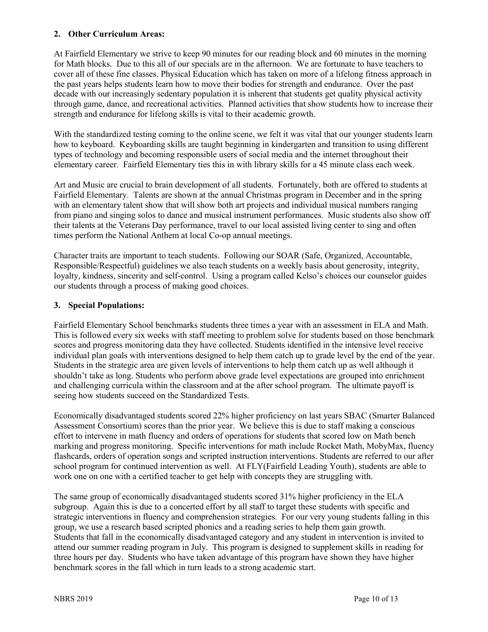## **2. Other Curriculum Areas:**

At Fairfield Elementary we strive to keep 90 minutes for our reading block and 60 minutes in the morning for Math blocks. Due to this all of our specials are in the afternoon. We are fortunate to have teachers to cover all of these fine classes. Physical Education which has taken on more of a lifelong fitness approach in the past years helps students learn how to move their bodies for strength and endurance. Over the past decade with our increasingly sedentary population it is inherent that students get quality physical activity through game, dance, and recreational activities. Planned activities that show students how to increase their strength and endurance for lifelong skills is vital to their academic growth.

With the standardized testing coming to the online scene, we felt it was vital that our younger students learn how to keyboard. Keyboarding skills are taught beginning in kindergarten and transition to using different types of technology and becoming responsible users of social media and the internet throughout their elementary career. Fairfield Elementary ties this in with library skills for a 45 minute class each week.

Art and Music are crucial to brain development of all students. Fortunately, both are offered to students at Fairfield Elementary. Talents are shown at the annual Christmas program in December and in the spring with an elementary talent show that will show both art projects and individual musical numbers ranging from piano and singing solos to dance and musical instrument performances. Music students also show off their talents at the Veterans Day performance, travel to our local assisted living center to sing and often times perform the National Anthem at local Co-op annual meetings.

Character traits are important to teach students. Following our SOAR (Safe, Organized, Accountable, Responsible/Respectful) guidelines we also teach students on a weekly basis about generosity, integrity, loyalty, kindness, sincerity and self-control. Using a program called Kelso's choices our counselor guides our students through a process of making good choices.

## **3. Special Populations:**

Fairfield Elementary School benchmarks students three times a year with an assessment in ELA and Math. This is followed every six weeks with staff meeting to problem solve for students based on those benchmark scores and progress monitoring data they have collected. Students identified in the intensive level receive individual plan goals with interventions designed to help them catch up to grade level by the end of the year. Students in the strategic area are given levels of interventions to help them catch up as well although it shouldn't take as long. Students who perform above grade level expectations are grouped into enrichment and challenging curricula within the classroom and at the after school program. The ultimate payoff is seeing how students succeed on the Standardized Tests.

Economically disadvantaged students scored 22% higher proficiency on last years SBAC (Smarter Balanced Assessment Consortium) scores than the prior year. We believe this is due to staff making a conscious effort to intervene in math fluency and orders of operations for students that scored low on Math bench marking and progress monitoring. Specific interventions for math include Rocket Math, MobyMax, fluency flashcards, orders of operation songs and scripted instruction interventions. Students are referred to our after school program for continued intervention as well. At FLY(Fairfield Leading Youth), students are able to work one on one with a certified teacher to get help with concepts they are struggling with.

The same group of economically disadvantaged students scored 31% higher proficiency in the ELA subgroup. Again this is due to a concerted effort by all staff to target these students with specific and strategic interventions in fluency and comprehension strategies. For our very young students falling in this group, we use a research based scripted phonics and a reading series to help them gain growth. Students that fall in the economically disadvantaged category and any student in intervention is invited to attend our summer reading program in July. This program is designed to supplement skills in reading for three hours per day. Students who have taken advantage of this program have shown they have higher benchmark scores in the fall which in turn leads to a strong academic start.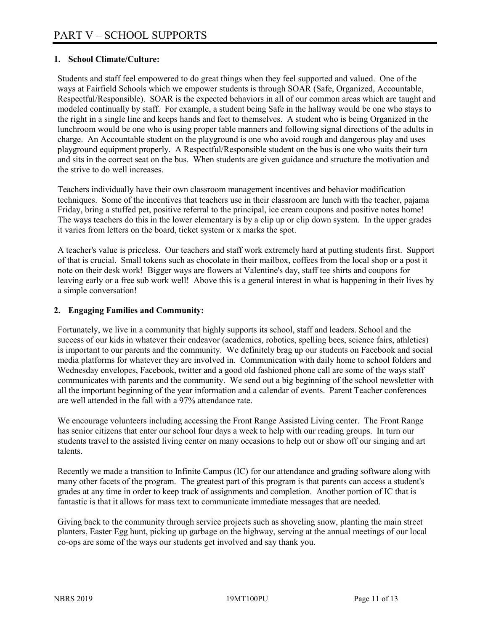## **1. School Climate/Culture:**

Students and staff feel empowered to do great things when they feel supported and valued. One of the ways at Fairfield Schools which we empower students is through SOAR (Safe, Organized, Accountable, Respectful/Responsible). SOAR is the expected behaviors in all of our common areas which are taught and modeled continually by staff. For example, a student being Safe in the hallway would be one who stays to the right in a single line and keeps hands and feet to themselves. A student who is being Organized in the lunchroom would be one who is using proper table manners and following signal directions of the adults in charge. An Accountable student on the playground is one who avoid rough and dangerous play and uses playground equipment properly. A Respectful/Responsible student on the bus is one who waits their turn and sits in the correct seat on the bus. When students are given guidance and structure the motivation and the strive to do well increases.

Teachers individually have their own classroom management incentives and behavior modification techniques. Some of the incentives that teachers use in their classroom are lunch with the teacher, pajama Friday, bring a stuffed pet, positive referral to the principal, ice cream coupons and positive notes home! The ways teachers do this in the lower elementary is by a clip up or clip down system. In the upper grades it varies from letters on the board, ticket system or x marks the spot.

A teacher's value is priceless. Our teachers and staff work extremely hard at putting students first. Support of that is crucial. Small tokens such as chocolate in their mailbox, coffees from the local shop or a post it note on their desk work! Bigger ways are flowers at Valentine's day, staff tee shirts and coupons for leaving early or a free sub work well! Above this is a general interest in what is happening in their lives by a simple conversation!

## **2. Engaging Families and Community:**

Fortunately, we live in a community that highly supports its school, staff and leaders. School and the success of our kids in whatever their endeavor (academics, robotics, spelling bees, science fairs, athletics) is important to our parents and the community. We definitely brag up our students on Facebook and social media platforms for whatever they are involved in. Communication with daily home to school folders and Wednesday envelopes, Facebook, twitter and a good old fashioned phone call are some of the ways staff communicates with parents and the community. We send out a big beginning of the school newsletter with all the important beginning of the year information and a calendar of events. Parent Teacher conferences are well attended in the fall with a 97% attendance rate.

We encourage volunteers including accessing the Front Range Assisted Living center. The Front Range has senior citizens that enter our school four days a week to help with our reading groups. In turn our students travel to the assisted living center on many occasions to help out or show off our singing and art talents.

Recently we made a transition to Infinite Campus (IC) for our attendance and grading software along with many other facets of the program. The greatest part of this program is that parents can access a student's grades at any time in order to keep track of assignments and completion. Another portion of IC that is fantastic is that it allows for mass text to communicate immediate messages that are needed.

Giving back to the community through service projects such as shoveling snow, planting the main street planters, Easter Egg hunt, picking up garbage on the highway, serving at the annual meetings of our local co-ops are some of the ways our students get involved and say thank you.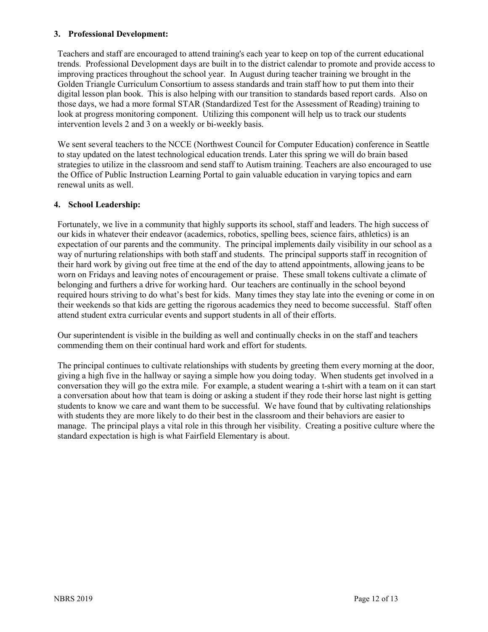#### **3. Professional Development:**

Teachers and staff are encouraged to attend training's each year to keep on top of the current educational trends. Professional Development days are built in to the district calendar to promote and provide access to improving practices throughout the school year. In August during teacher training we brought in the Golden Triangle Curriculum Consortium to assess standards and train staff how to put them into their digital lesson plan book. This is also helping with our transition to standards based report cards. Also on those days, we had a more formal STAR (Standardized Test for the Assessment of Reading) training to look at progress monitoring component. Utilizing this component will help us to track our students intervention levels 2 and 3 on a weekly or bi-weekly basis.

We sent several teachers to the NCCE (Northwest Council for Computer Education) conference in Seattle to stay updated on the latest technological education trends. Later this spring we will do brain based strategies to utilize in the classroom and send staff to Autism training. Teachers are also encouraged to use the Office of Public Instruction Learning Portal to gain valuable education in varying topics and earn renewal units as well.

## **4. School Leadership:**

Fortunately, we live in a community that highly supports its school, staff and leaders. The high success of our kids in whatever their endeavor (academics, robotics, spelling bees, science fairs, athletics) is an expectation of our parents and the community. The principal implements daily visibility in our school as a way of nurturing relationships with both staff and students. The principal supports staff in recognition of their hard work by giving out free time at the end of the day to attend appointments, allowing jeans to be worn on Fridays and leaving notes of encouragement or praise. These small tokens cultivate a climate of belonging and furthers a drive for working hard. Our teachers are continually in the school beyond required hours striving to do what's best for kids. Many times they stay late into the evening or come in on their weekends so that kids are getting the rigorous academics they need to become successful. Staff often attend student extra curricular events and support students in all of their efforts.

Our superintendent is visible in the building as well and continually checks in on the staff and teachers commending them on their continual hard work and effort for students.

The principal continues to cultivate relationships with students by greeting them every morning at the door, giving a high five in the hallway or saying a simple how you doing today. When students get involved in a conversation they will go the extra mile. For example, a student wearing a t-shirt with a team on it can start a conversation about how that team is doing or asking a student if they rode their horse last night is getting students to know we care and want them to be successful. We have found that by cultivating relationships with students they are more likely to do their best in the classroom and their behaviors are easier to manage. The principal plays a vital role in this through her visibility. Creating a positive culture where the standard expectation is high is what Fairfield Elementary is about.